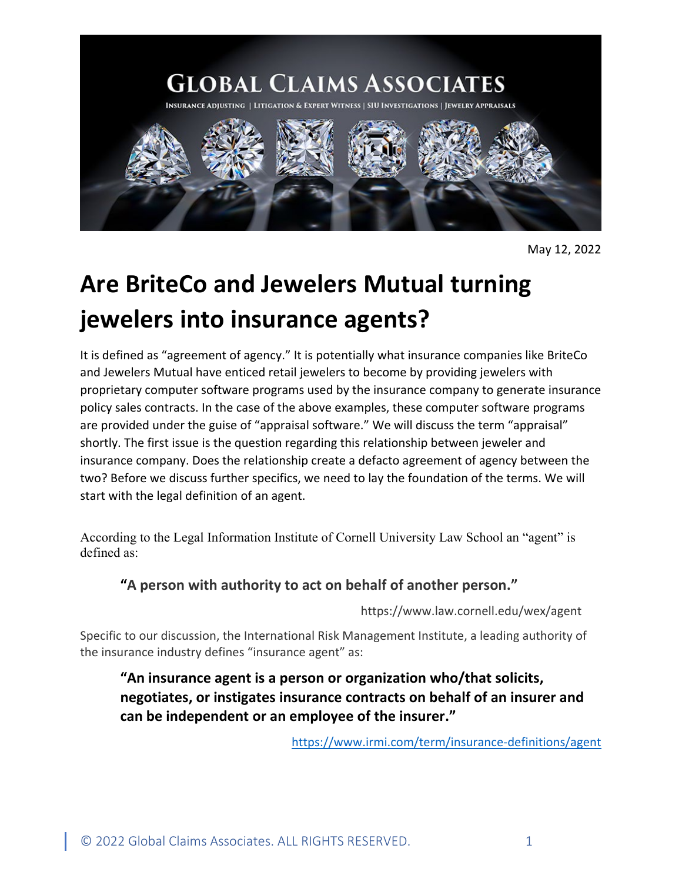

May 12, 2022

# **Are BriteCo and Jewelers Mutual turning jewelers into insurance agents?**

It is defined as "agreement of agency." It is potentially what insurance companies like BriteCo and Jewelers Mutual have enticed retail jewelers to become by providing jewelers with proprietary computer software programs used by the insurance company to generate insurance policy sales contracts. In the case of the above examples, these computer software programs are provided under the guise of "appraisal software." We will discuss the term "appraisal" shortly. The first issue is the question regarding this relationship between jeweler and insurance company. Does the relationship create a defacto agreement of agency between the two? Before we discuss further specifics, we need to lay the foundation of the terms. We will start with the legal definition of an agent.

According to the Legal Information Institute of Cornell University Law School an "agent" is defined as:

## **"A person with authority to act on behalf of another person."**

https://www.law.cornell.edu/wex/agent

Specific to our discussion, the International Risk Management Institute, a leading authority of the insurance industry defines "insurance agent" as:

# **"An insurance agent is a person or organization who/that solicits, negotiates, or instigates insurance contracts on behalf of an insurer and can be independent or an employee of the insurer."**

<https://www.irmi.com/term/insurance-definitions/agent>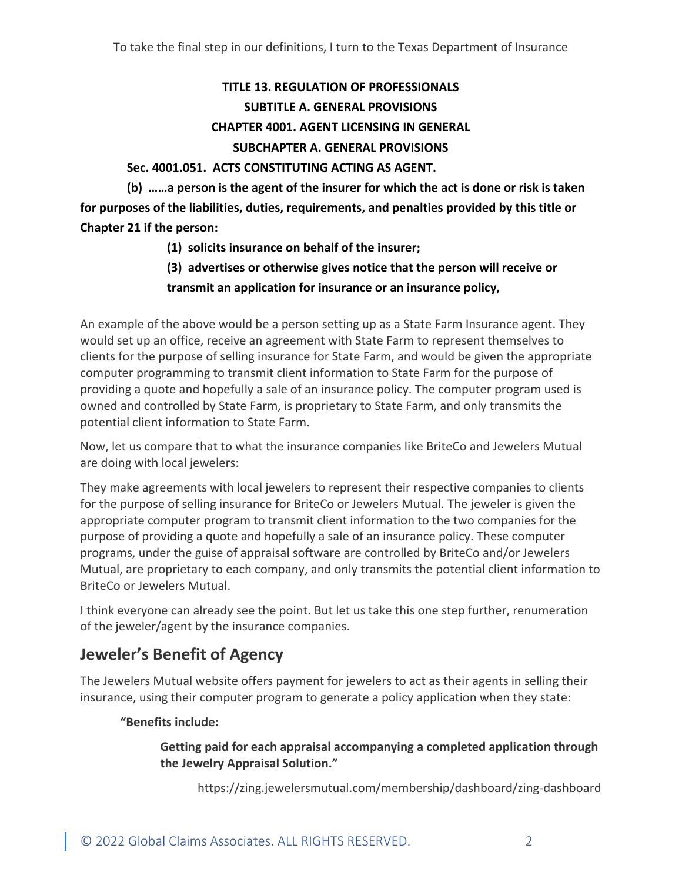## **TITLE 13. REGULATION OF PROFESSIONALS SUBTITLE A. GENERAL PROVISIONS CHAPTER 4001. AGENT LICENSING IN GENERAL SUBCHAPTER A. GENERAL PROVISIONS**

### **Sec. 4001.051. ACTS CONSTITUTING ACTING AS AGENT.**

**(b) ……a person is the agent of the insurer for which the act is done or risk is taken for purposes of the liabilities, duties, requirements, and penalties provided by this title or Chapter 21 if the person:**

- **(1) solicits insurance on behalf of the insurer;**
- **(3) advertises or otherwise gives notice that the person will receive or transmit an application for insurance or an insurance policy,**

An example of the above would be a person setting up as a State Farm Insurance agent. They would set up an office, receive an agreement with State Farm to represent themselves to clients for the purpose of selling insurance for State Farm, and would be given the appropriate computer programming to transmit client information to State Farm for the purpose of providing a quote and hopefully a sale of an insurance policy. The computer program used is owned and controlled by State Farm, is proprietary to State Farm, and only transmits the potential client information to State Farm.

Now, let us compare that to what the insurance companies like BriteCo and Jewelers Mutual are doing with local jewelers:

They make agreements with local jewelers to represent their respective companies to clients for the purpose of selling insurance for BriteCo or Jewelers Mutual. The jeweler is given the appropriate computer program to transmit client information to the two companies for the purpose of providing a quote and hopefully a sale of an insurance policy. These computer programs, under the guise of appraisal software are controlled by BriteCo and/or Jewelers Mutual, are proprietary to each company, and only transmits the potential client information to BriteCo or Jewelers Mutual.

I think everyone can already see the point. But let us take this one step further, renumeration of the jeweler/agent by the insurance companies.

# **Jeweler's Benefit of Agency**

The Jewelers Mutual website offers payment for jewelers to act as their agents in selling their insurance, using their computer program to generate a policy application when they state:

## **"Benefits include:**

### **Getting paid for each appraisal accompanying a completed application through the Jewelry Appraisal Solution."**

https://zing.jewelersmutual.com/membership/dashboard/zing-dashboard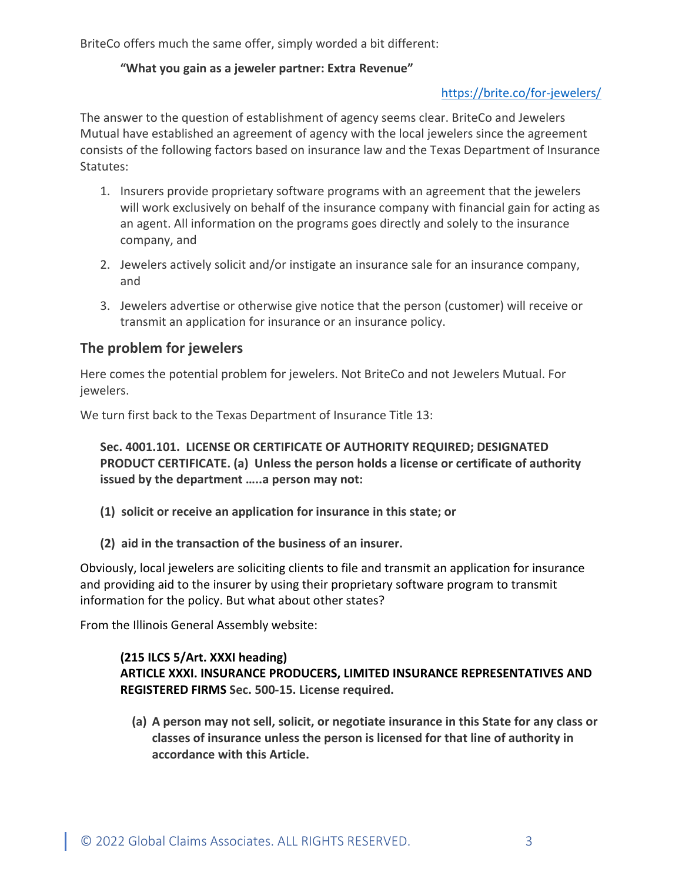BriteCo offers much the same offer, simply worded a bit different:

## **"What you gain as a jeweler partner: Extra Revenue"**

## <https://brite.co/for-jewelers/>

The answer to the question of establishment of agency seems clear. BriteCo and Jewelers Mutual have established an agreement of agency with the local jewelers since the agreement consists of the following factors based on insurance law and the Texas Department of Insurance Statutes:

- 1. Insurers provide proprietary software programs with an agreement that the jewelers will work exclusively on behalf of the insurance company with financial gain for acting as an agent. All information on the programs goes directly and solely to the insurance company, and
- 2. Jewelers actively solicit and/or instigate an insurance sale for an insurance company, and
- 3. Jewelers advertise or otherwise give notice that the person (customer) will receive or transmit an application for insurance or an insurance policy.

## **The problem for jewelers**

Here comes the potential problem for jewelers. Not BriteCo and not Jewelers Mutual. For jewelers.

We turn first back to the Texas Department of Insurance Title 13:

**Sec. 4001.101. LICENSE OR CERTIFICATE OF AUTHORITY REQUIRED; DESIGNATED PRODUCT CERTIFICATE. (a) Unless the person holds a license or certificate of authority issued by the department …..a person may not:**

- **(1) solicit or receive an application for insurance in this state; or**
- **(2) aid in the transaction of the business of an insurer.**

Obviously, local jewelers are soliciting clients to file and transmit an application for insurance and providing aid to the insurer by using their proprietary software program to transmit information for the policy. But what about other states?

From the Illinois General Assembly website:

## **(215 ILCS 5/Art. XXXI heading) ARTICLE XXXI. INSURANCE PRODUCERS, LIMITED INSURANCE REPRESENTATIVES AND REGISTERED FIRMS Sec. 500-15. License required.**

**(a) A person may not sell, solicit, or negotiate insurance in this State for any class or classes of insurance unless the person is licensed for that line of authority in accordance with this Article.**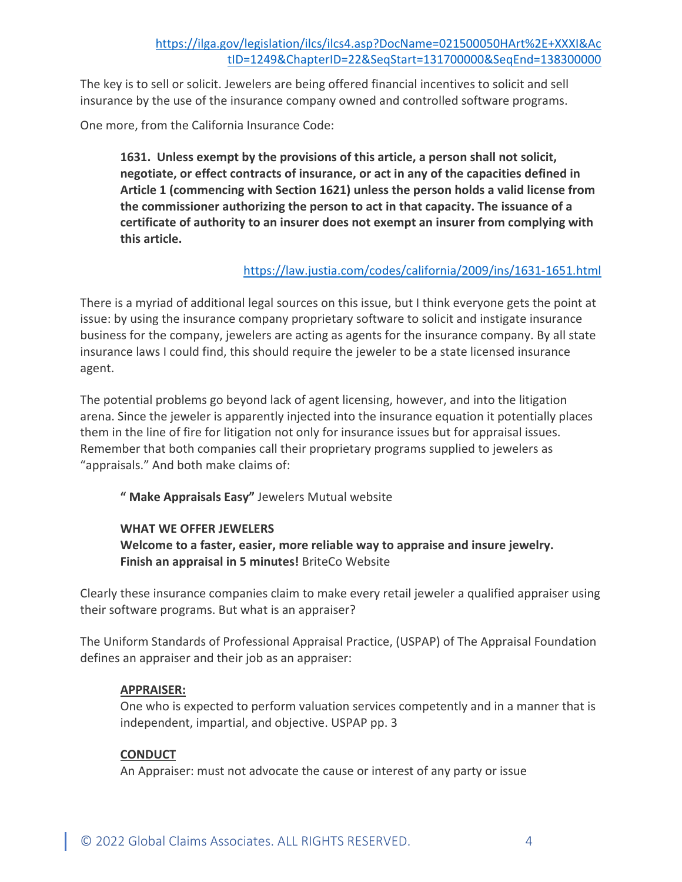The key is to sell or solicit. Jewelers are being offered financial incentives to solicit and sell insurance by the use of the insurance company owned and controlled software programs.

One more, from the California Insurance Code:

**1631. Unless exempt by the provisions of this article, a person shall not solicit, negotiate, or effect contracts of insurance, or act in any of the capacities defined in Article 1 (commencing with Section 1621) unless the person holds a valid license from the commissioner authorizing the person to act in that capacity. The issuance of a certificate of authority to an insurer does not exempt an insurer from complying with this article.**

## <https://law.justia.com/codes/california/2009/ins/1631-1651.html>

There is a myriad of additional legal sources on this issue, but I think everyone gets the point at issue: by using the insurance company proprietary software to solicit and instigate insurance business for the company, jewelers are acting as agents for the insurance company. By all state insurance laws I could find, this should require the jeweler to be a state licensed insurance agent.

The potential problems go beyond lack of agent licensing, however, and into the litigation arena. Since the jeweler is apparently injected into the insurance equation it potentially places them in the line of fire for litigation not only for insurance issues but for appraisal issues. Remember that both companies call their proprietary programs supplied to jewelers as "appraisals." And both make claims of:

**" Make Appraisals Easy"** Jewelers Mutual website

## **WHAT WE OFFER JEWELERS**

## **Welcome to a faster, easier, more reliable way to appraise and insure jewelry. Finish an appraisal in 5 minutes!** BriteCo Website

Clearly these insurance companies claim to make every retail jeweler a qualified appraiser using their software programs. But what is an appraiser?

The Uniform Standards of Professional Appraisal Practice, (USPAP) of The Appraisal Foundation defines an appraiser and their job as an appraiser:

## **APPRAISER:**

One who is expected to perform valuation services competently and in a manner that is independent, impartial, and objective. USPAP pp. 3

## **CONDUCT**

An Appraiser: must not advocate the cause or interest of any party or issue